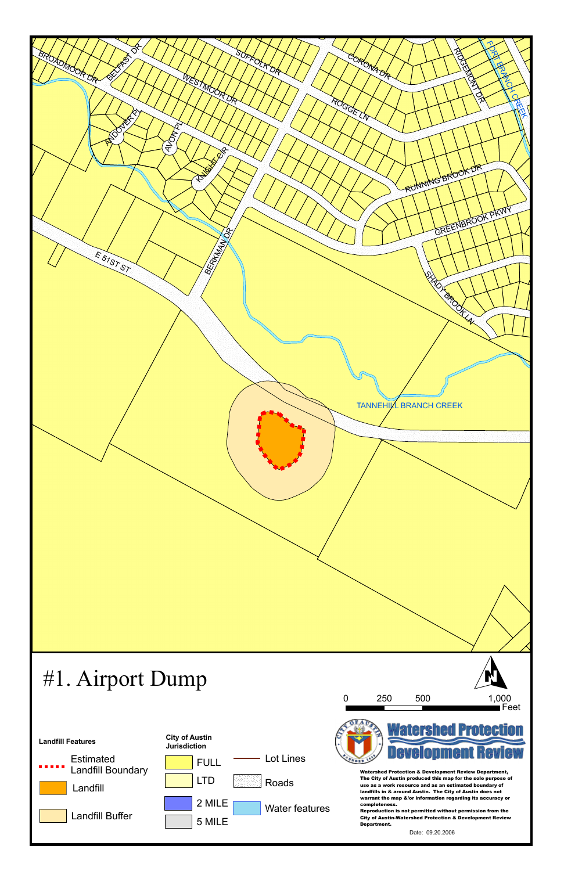



Date: 09.20.2006

# #1. Airport Dump



Watershed Protection & Development Review Department, The City of Austin produced this map for the sole purpose of use as a work resource and as an estimated boundary of landfills in & around Austin. The City of Austin does not warrant the map &/or information regarding its accuracy or completeness.

Reproduction is not permitted without permission from the City of Austin-Watershed Protection & Development Review Department.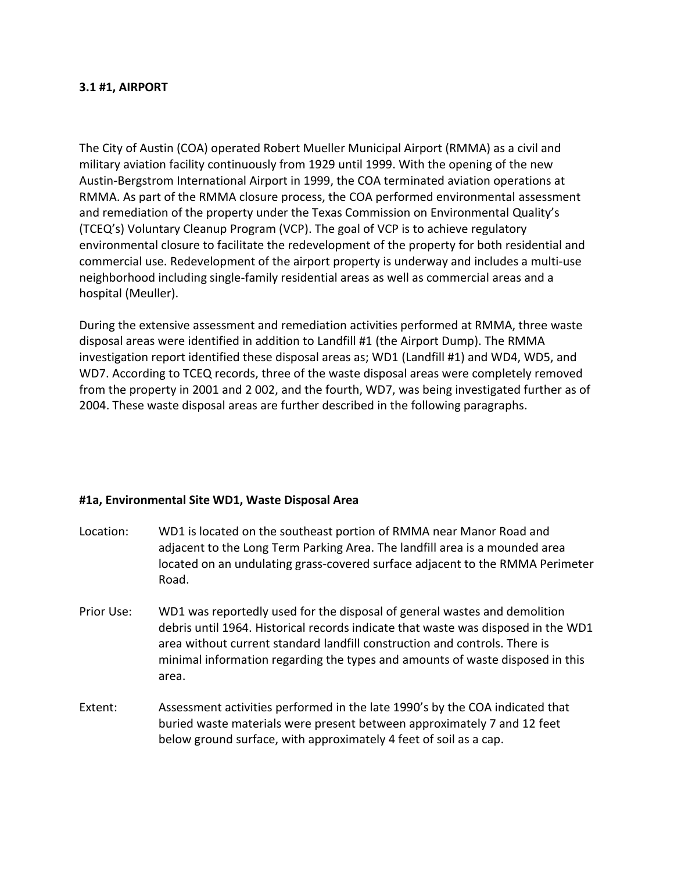# **3.1 #1, AIRPORT**

The City of Austin (COA) operated Robert Mueller Municipal Airport (RMMA) as a civil and military aviation facility continuously from 1929 until 1999. With the opening of the new Austin-Bergstrom International Airport in 1999, the COA terminated aviation operations at RMMA. As part of the RMMA closure process, the COA performed environmental assessment and remediation of the property under the Texas Commission on Environmental Quality's (TCEQ's) Voluntary Cleanup Program (VCP). The goal of VCP is to achieve regulatory environmental closure to facilitate the redevelopment of the property for both residential and commercial use. Redevelopment of the airport property is underway and includes a multi-use neighborhood including single-family residential areas as well as commercial areas and a hospital (Meuller).

During the extensive assessment and remediation activities performed at RMMA, three waste disposal areas were identified in addition to Landfill #1 (the Airport Dump). The RMMA investigation report identified these disposal areas as; WD1 (Landfill #1) and WD4, WD5, and WD7. According to TCEQ records, three of the waste disposal areas were completely removed from the property in 2001 and 2 002, and the fourth, WD7, was being investigated further as of 2004. These waste disposal areas are further described in the following paragraphs.

# *<sup>U</sup>***#1a, Environmental Site WD1, Waste Disposal Area**

area.

| Location:  | WD1 is located on the southeast portion of RMMA near Manor Road and<br>adjacent to the Long Term Parking Area. The landfill area is a mounded area<br>located on an undulating grass-covered surface adjacent to the RMMA Perimeter<br>Road.                                                                                  |
|------------|-------------------------------------------------------------------------------------------------------------------------------------------------------------------------------------------------------------------------------------------------------------------------------------------------------------------------------|
| Prior Use: | WD1 was reportedly used for the disposal of general wastes and demolition<br>debris until 1964. Historical records indicate that waste was disposed in the WD1<br>area without current standard landfill construction and controls. There is<br>minimal information regarding the types and amounts of waste disposed in this |

Extent: Assessment activities performed in the late 1990's by the COA indicated that buried waste materials were present between approximately 7 and 12 feet below ground surface, with approximately 4 feet of soil as a cap.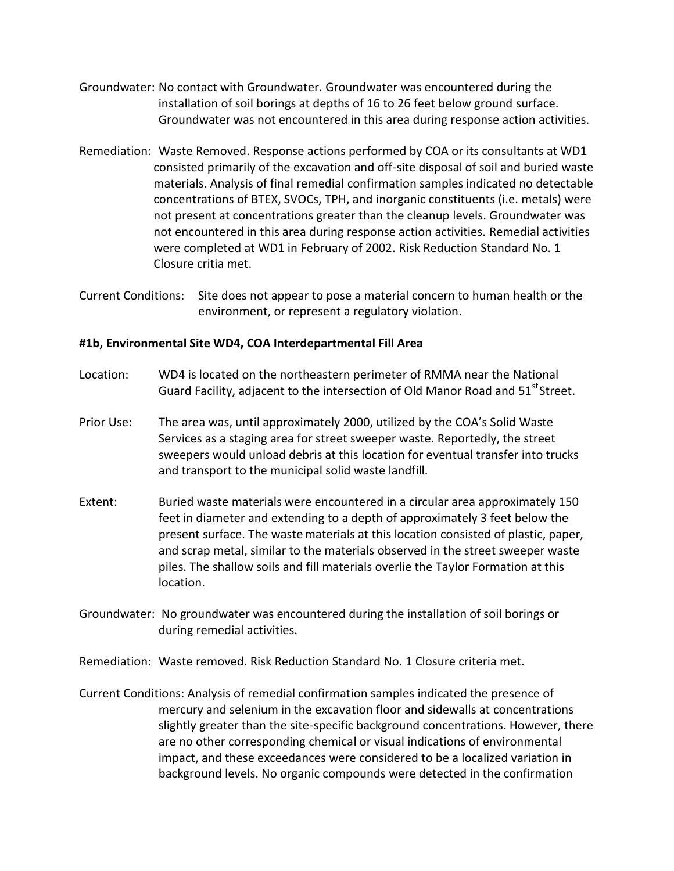- Groundwater: No contact with Groundwater. Groundwater was encountered during the installation of soil borings at depths of 16 to 26 feet below ground surface. Groundwater was not encountered in this area during response action activities.
- Remediation: Waste Removed. Response actions performed by COA or its consultants at WD1 consisted primarily of the excavation and off-site disposal of soil and buried waste materials. Analysis of final remedial confirmation samples indicated no detectable concentrations of BTEX, SVOCs, TPH, and inorganic constituents (i.e. metals) were not present at concentrations greater than the cleanup levels. Groundwater was not encountered in this area during response action activities. Remedial activities were completed at WD1 in February of 2002. Risk Reduction Standard No. 1 Closure critia met.
- Current Conditions: Site does not appear to pose a material concern to human health or the environment, or represent a regulatory violation.

### *<sup>U</sup>***#1b, Environmental Site WD4, COA Interdepartmental Fill Area**

- Location: WD4 is located on the northeastern perimeter of RMMA near the National Guard Facility, adjacent to the intersection of Old Manor Road and 51<sup>st</sup>Street.
- Prior Use: The area was, until approximately 2000, utilized by the COA's Solid Waste Services as a staging area for street sweeper waste. Reportedly, the street sweepers would unload debris at this location for eventual transfer into trucks and transport to the municipal solid waste landfill.
- Extent: Buried waste materials were encountered in a circular area approximately 150 feet in diameter and extending to a depth of approximately 3 feet below the present surface. The wastematerials at this location consisted of plastic, paper, and scrap metal, similar to the materials observed in the street sweeper waste piles. The shallow soils and fill materials overlie the Taylor Formation at this location.
- Groundwater: No groundwater was encountered during the installation of soil borings or during remedial activities.
- Remediation: Waste removed. Risk Reduction Standard No. 1 Closure criteria met.
- Current Conditions: Analysis of remedial confirmation samples indicated the presence of mercury and selenium in the excavation floor and sidewalls at concentrations slightly greater than the site-specific background concentrations. However, there are no other corresponding chemical or visual indications of environmental impact, and these exceedances were considered to be a localized variation in background levels. No organic compounds were detected in the confirmation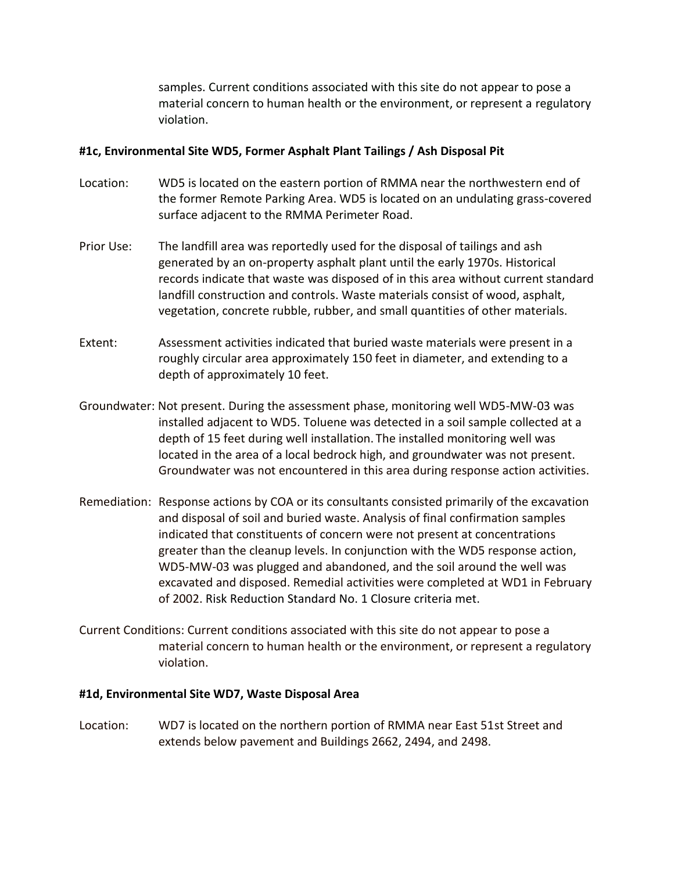samples. Current conditions associated with this site do not appear to pose a material concern to human health or the environment, or represent a regulatory violation.

# *<sup>U</sup>***#1c, Environmental Site WD5, Former Asphalt Plant Tailings / Ash Disposal Pit**

- Location: WD5 is located on the eastern portion of RMMA near the northwestern end of the former Remote Parking Area. WD5 is located on an undulating grass-covered surface adjacent to the RMMA Perimeter Road.
- Prior Use: The landfill area was reportedly used for the disposal of tailings and ash generated by an on-property asphalt plant until the early 1970s. Historical records indicate that waste was disposed of in this area without current standard landfill construction and controls. Waste materials consist of wood, asphalt, vegetation, concrete rubble, rubber, and small quantities of other materials.
- Extent: Assessment activities indicated that buried waste materials were present in a roughly circular area approximately 150 feet in diameter, and extending to a depth of approximately 10 feet.
- Groundwater: Not present. During the assessment phase, monitoring well WD5-MW-03 was installed adjacent to WD5. Toluene was detected in a soil sample collected at a depth of 15 feet during well installation. The installed monitoring well was located in the area of a local bedrock high, and groundwater was not present. Groundwater was not encountered in this area during response action activities.
- Remediation: Response actions by COA or its consultants consisted primarily of the excavation and disposal of soil and buried waste. Analysis of final confirmation samples indicated that constituents of concern were not present at concentrations greater than the cleanup levels. In conjunction with the WD5 response action, WD5-MW-03 was plugged and abandoned, and the soil around the well was excavated and disposed. Remedial activities were completed at WD1 in February of 2002. Risk Reduction Standard No. 1 Closure criteria met.
- Current Conditions: Current conditions associated with this site do not appear to pose a material concern to human health or the environment, or represent a regulatory violation.

# *<sup>U</sup>***#1d, Environmental Site WD7, Waste Disposal Area**

Location: WD7 is located on the northern portion of RMMA near East 51st Street and extends below pavement and Buildings 2662, 2494, and 2498.